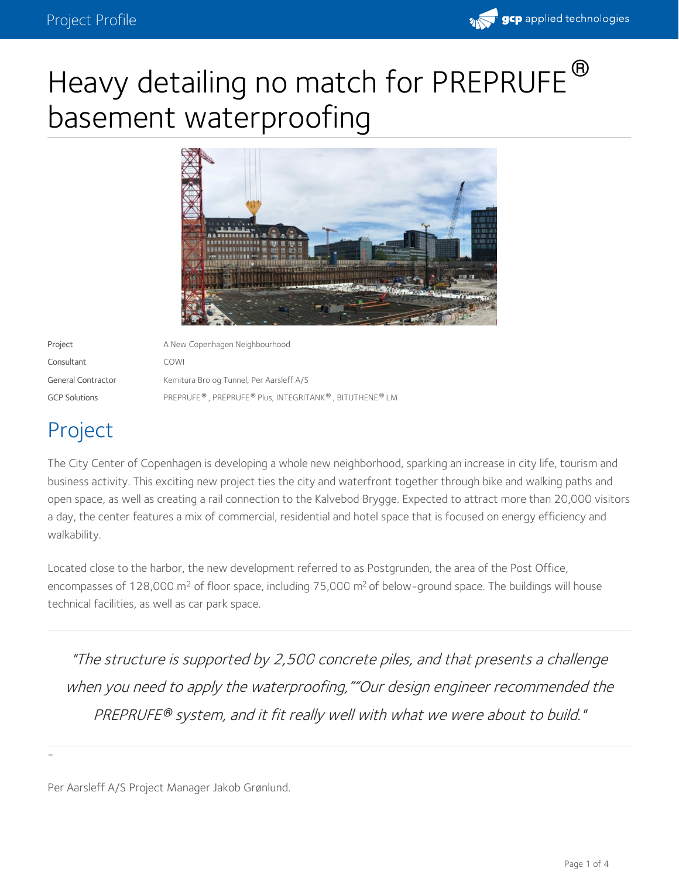

# Heavy detailing no match for PREPRUFE basement waterproofing  $\bigoplus$



Project **A New Copenhagen Neighbourhood** A New Copenhagen Neighbourhood Consultant COWI General Contractor Kemitura Bro og Tunnel, Per Aarsleff A/S  $GCP$  Solutions  $P_{R}$  PREPRUFE  $^{\circledast}$  , PREPRUFE  $^{\circledast}$  Plus, INTEGRITANK  $^{\circledast}$  , BITUTHENE  $^{\circledast}$  LM

# Project

-

The City Center of Copenhagen is developing a whole new [neighborhood](http://postgrunden.dk/), sparking an increase in city life, tourism and business activity. This exciting new project ties the city and waterfront together through bike and walking paths and open space, as well as creating a rail connection to the Kalvebod Brygge. Expected to attract more than 20,000 visitors a day, the center features a mix of commercial, residential and hotel space that is focused on energy efficiency and walkability.

Located close to the harbor, the new development referred to as Postgrunden, the area of the Post Office, encompasses of 128,000 m<sup>2</sup> of floor space, including 75,000 m<sup>2</sup> of below-ground space. The buildings will house technical facilities, as well as car park space.

"The structure is supported by 2,500 concrete piles, and that presents <sup>a</sup> challenge when you need to apply the waterproofing, ""Our design engineer recommended the PREPRUFE system, and it fit really well with what we were about to build." *®*

Per Aarsleff A/S Project Manager Jakob Grønlund.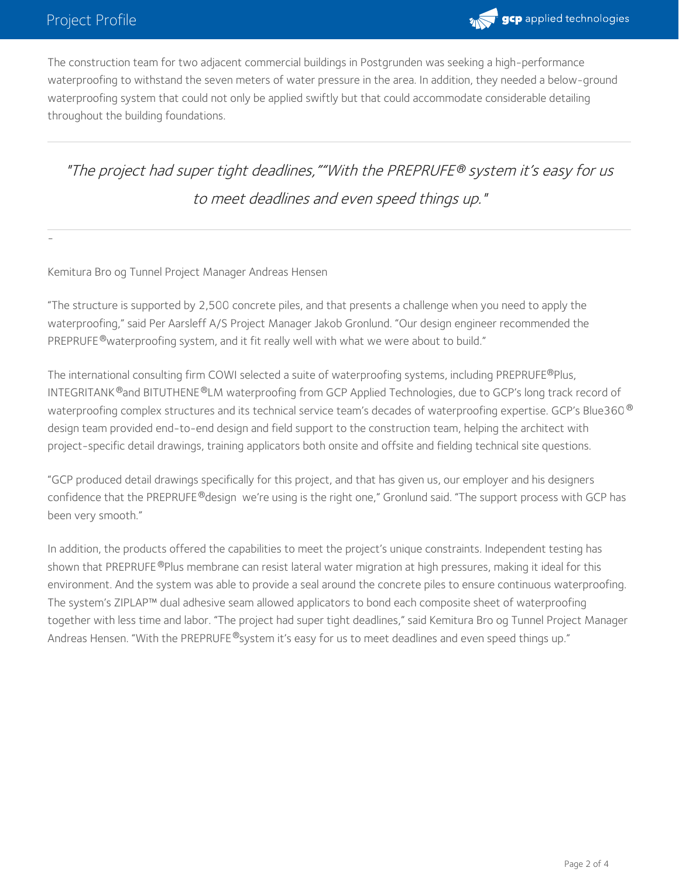-



The construction team for two adjacent commercial buildings in Postgrunden was seeking a high-performance waterproofing to withstand the seven meters of water pressure in the area. In addition, they needed a below-ground waterproofing system that could not only be applied swiftly but that could accommodate considerable detailing throughout the building foundations.

## "The project had super tight deadlines,""With the PREPRUFE system it's easy for us *®* to meet deadlines and even speed things up."

#### Kemitura Bro og Tunnel Project Manager Andreas Hensen

"The structure is supported by 2,500 concrete piles, and that presents a challenge when you need to apply the waterproofing," said Per Aarsleff A/S Project Manager Jakob Gronlund. "Our design engineer recommended the PREPRUFE®waterproofing system, and it fit really well with what we were about to build."

The international consulting firm COWI selected a suite of waterproofing systems, including PREPRUFE®Plus, INTEGRITANK  $^\circledR$ and BITUTHENE  $^\circledR$ LM waterproofing from GCP Applied Technologies, due to GCP's long track record of waterproofing complex structures and its technical service team's decades of waterproofing expertise. GCP's Blue360  $^\circ$ design team provided end-to-end design and field support to the construction team, helping the architect with project-specific detail drawings, training applicators both onsite and offsite and fielding technical site questions.

"GCP produced detail drawings specifically for this project, and that has given us, our employer and his designers confidence that the PREPRUFE®design we're using is the right one," Gronlund said. "The support process with GCP has been very smooth."

In addition, the products offered the capabilities to meet the project's unique constraints. Independent testing has shown that PREPRUFE®Plus membrane can resist lateral water migration at high pressures, making it ideal for this environment. And the system was able to provide a seal around the concrete piles to ensure continuous waterproofing. The system's ZIPLAP™ dual adhesive seam allowed applicators to bond each composite sheet of waterproofing together with less time and labor. "The project had super tight deadlines," said Kemitura Bro og Tunnel Project Manager Andreas Hensen. "With the PREPRUFE®system it's easy for us to meet deadlines and even speed things up."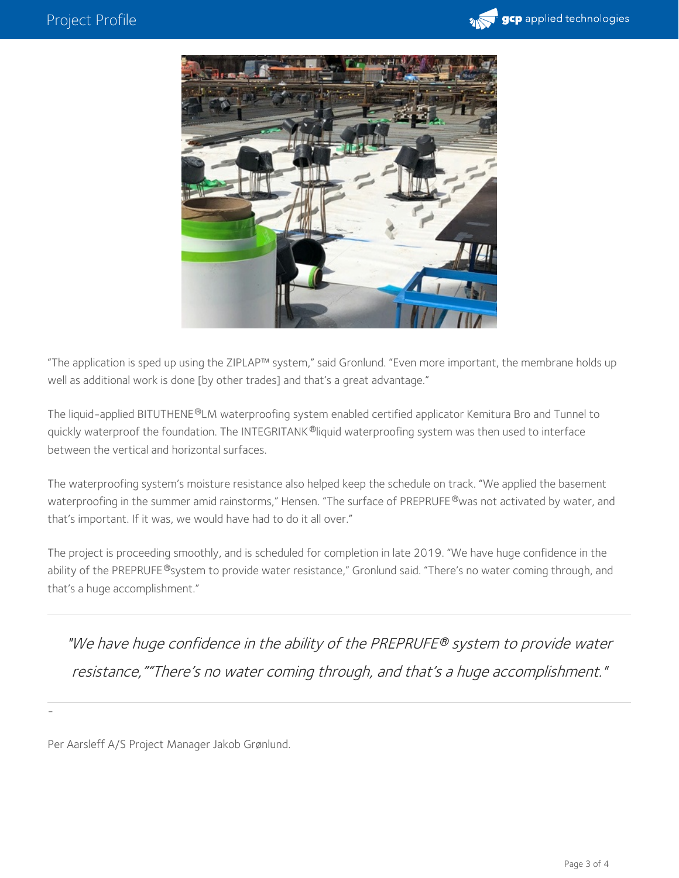



"The application is sped up using the ZIPLAP™ system," said Gronlund. "Even more important, the membrane holds up well as additional work is done [by other trades] and that's a great advantage."

The liquid-applied BITUTHENE®LM waterproofing system enabled certified applicator Kemitura Bro and Tunnel to quickly waterproof the foundation. The INTEGRITANK ®liquid waterproofing system was then used to interface between the vertical and horizontal surfaces.

The waterproofing system's moisture resistance also helped keep the schedule on track. "We applied the basement waterproofing in the summer amid rainstorms," Hensen. "The surface of PREPRUFE ®was not activated by water, and that's important. If it was, we would have had to do it all over."

The project is proceeding smoothly, and is scheduled for completion in late 2019. "We have huge confidence in the ability of the PREPRUFE®system to provide water resistance," Gronlund said. "There's no water coming through, and that's a huge accomplishment."

"We have huge confidence in the ability of the PREPRUFE® system to provide water resistance,""There's no water coming through, and that's <sup>a</sup> huge accomplishment."

Per Aarsleff A/S Project Manager Jakob Grønlund.

-